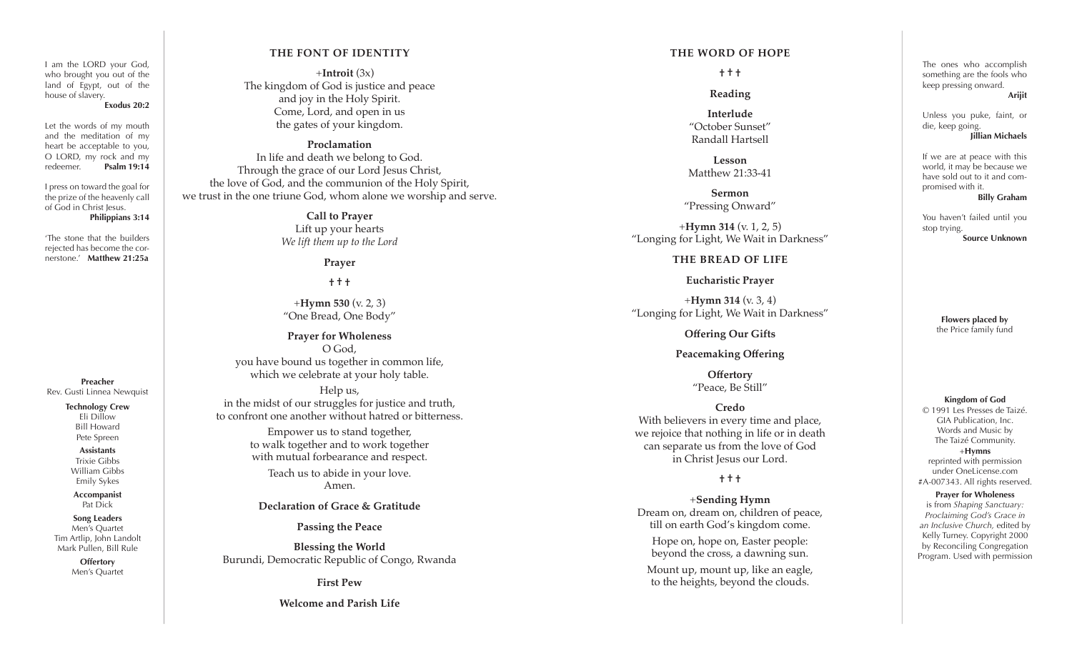I am the LORD your God, who brought you out of the land of Egypt, out of the house of slavery.

#### **Exodus 20:2**

Let the words of my mouth and the meditation of my heart be acceptable to you, O LORD, my rock and my redeemer. **Psalm 19:14**

I press on toward the goal for the prize of the heavenly call of God in Christ Jesus. **Philippians 3:14**

'The stone that the builders rejected has become the cor nerstone.' **Matthew 21:25a**

**Preacher** Rev. Gusti Linnea Newquist

#### **Technology Crew**

Eli Dillow Bill Howard Pete Spreen

**Assistants** Trixie Gibbs William Gibbs Emily Sykes

**Accompanist** Pat Dick

**Song Leaders** Men's Quartet Tim Artlip, John Landolt Mark Pullen, Bill Rule

> **Offertory** Men's Quartet

### **THE FONT OF IDENTITY**

+**Introit** (3x) The kingdom of God is justice and peace and joy in the Holy Spirit. Come, Lord, and open in us the gates of your kingdom.

#### **Proclamation**

In life and death we belong to God. Through the grace of our Lord Jesus Christ, the love of God, and the communion of the Holy Spirit, we trust in the one triune God, whom alone we worship and serve.

> **Call to Prayer** Lift up your hearts *We lift them up to the Lord*

> > **Prayer**

**† † †**

+**Hymn 530** (v. 2, 3) "One Bread, One Body"

**Prayer for Wholeness** O God, you have bound us together in common life, which we celebrate at your holy table.

Help us, in the midst of our struggles for justice and truth, to confront one another without hatred or bitterness.

> Empower us to stand together, to walk together and to work together with mutual forbearance and respect.

> > Teach us to abide in your love. Amen.

### **Declaration of Grace & Gratitude**

**Passing the Peace**

**Blessing the World** Burundi, Democratic Republic of Congo, Rwanda

**First Pew**

**Welcome and Parish Life**

#### **THE WORD OF HOPE**

**† † †**

**Reading**

**Interlude** "October Sunset" Randall Hartsell

**Lesson** Matthew 21:33-41

**Sermon** "Pressing Onward"

+**Hymn 314** (v. 1, 2, 5) "Longing for Light, We Wait in Darkness"

### **THE BREAD OF LIFE**

**Eucharistic Prayer**

+**Hymn 314** (v. 3, 4) "Longing for Light, We Wait in Darkness"

**Offering Our Gifts**

**Peacemaking Offering**

**Offertory**  "Peace, Be Still"

**Credo** With believers in every time and place, we rejoice that nothing in life or in death can separate us from the love of God in Christ Jesus our Lord.

**† † †**

+**Sending Hymn** Dream on, dream on, children of peace, till on earth God's kingdom come.

Hope on, hope on, Easter people: beyond the cross, a dawning sun.

Mount up, mount up, like an eagle, to the heights, beyond the clouds.

The ones who accomplish something are the fools who keep pressing onward. **Arijit**

Unless you puke, faint, or die, keep going. **Jillian Michaels**

If we are at peace with this world, it may be because we have sold out to it and com promised with it.

**Billy Graham**

You haven't failed until you stop trying. **Source Unknown**

> **Flowers placed by** the Price family fund

**Kingdom of God**

© 1991 Les Presses de Taizé. GIA Publication, Inc. Words and Music by The Taizé Community. +**Hymns** reprinted with permission under OneLicense.com #A-007343. All rights reserved.

#### **Prayer for Wholeness**

is from *Shaping Sanctuary: Proclaiming God's Grace in an Inclusive Church,* edited by Kelly Turney. Copyright 2000 by Reconciling Congregation Program. Used with permission